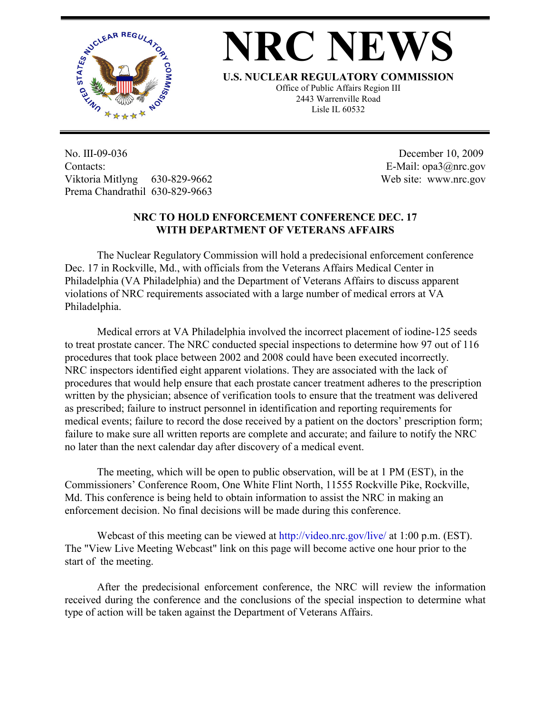

## **NRC NEWS**

**U.S. NUCLEAR REGULATORY COMMISSION**

Office of Public Affairs Region III 2443 Warrenville Road Lisle IL 60532

No. III-09-036 Contacts: Viktoria Mitlyng 630-829-9662 Prema Chandrathil 630-829-9663

 December 10, 2009 E-Mail: opa3@nrc.gov Web site: www.nrc.gov

## **NRC TO HOLD ENFORCEMENT CONFERENCE DEC. 17 WITH DEPARTMENT OF VETERANS AFFAIRS**

The Nuclear Regulatory Commission will hold a predecisional enforcement conference Dec. 17 in Rockville, Md., with officials from the Veterans Affairs Medical Center in Philadelphia (VA Philadelphia) and the Department of Veterans Affairs to discuss apparent violations of NRC requirements associated with a large number of medical errors at VA Philadelphia.

Medical errors at VA Philadelphia involved the incorrect placement of iodine-125 seeds to treat prostate cancer. The NRC conducted special inspections to determine how 97 out of 116 procedures that took place between 2002 and 2008 could have been executed incorrectly. NRC inspectors identified eight apparent violations. They are associated with the lack of procedures that would help ensure that each prostate cancer treatment adheres to the prescription written by the physician; absence of verification tools to ensure that the treatment was delivered as prescribed; failure to instruct personnel in identification and reporting requirements for medical events; failure to record the dose received by a patient on the doctors' prescription form; failure to make sure all written reports are complete and accurate; and failure to notify the NRC no later than the next calendar day after discovery of a medical event.

The meeting, which will be open to public observation, will be at 1 PM (EST), in the Commissioners' Conference Room, One White Flint North, 11555 Rockville Pike, Rockville, Md. This conference is being held to obtain information to assist the NRC in making an enforcement decision. No final decisions will be made during this conference.

Webcast of this meeting can be viewed at http://video.nrc.gov/live/ at 1:00 p.m. (EST). The "View Live Meeting Webcast" link on this page will become active one hour prior to the start of the meeting.

After the predecisional enforcement conference, the NRC will review the information received during the conference and the conclusions of the special inspection to determine what type of action will be taken against the Department of Veterans Affairs.